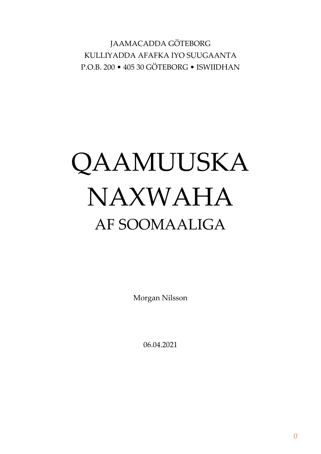JAAMACADDA GÖTEBORG KULLIYADDA AFAFKA IYO SUUGAANTA P.O.B. 200 • 405 30 GÖTEBORG • ISWIIDHAN

# QAAMUUSKA NAXWAHA AF SOOMAALIGA

Morgan Nilsson

06.04.2021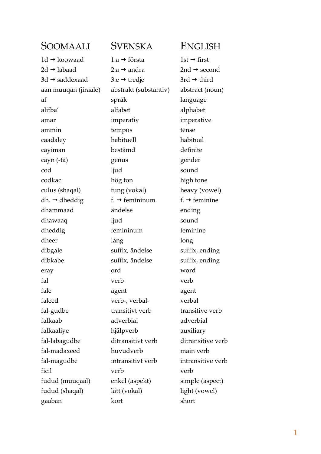| SOOMAALI                   | SVENSKA                    | <b>ENGLISH</b>            |
|----------------------------|----------------------------|---------------------------|
| $1d \rightarrow k$ oowaad  | 1:a → första               | 1st $\rightarrow$ first   |
| $2d \rightarrow$ labaad    | 2:a → andra                | 2nd $\rightarrow$ second  |
| $3d \rightarrow$ saddexaad | 3:e → tredje               | 3rd $\rightarrow$ third   |
| aan muuqan (jiraale)       | abstrakt (substantiv)      | abstract (noun)           |
| af                         | språk                      | language                  |
| alifba'                    | alfabet                    | alphabet                  |
| amar                       | imperativ                  | imperative                |
| ammin                      | tempus                     | tense                     |
| caadaley                   | habituell                  | habitual                  |
| cayiman                    | bestämd                    | definite                  |
| cayn (-ta)                 | genus                      | gender                    |
| cod                        | ljud                       | sound                     |
| codkac                     | hög ton                    | high tone                 |
| culus (shaqal)             | tung (vokal)               | heavy (vowel)             |
| dh. $\rightarrow$ dheddig  | f. $\rightarrow$ femininum | f. $\rightarrow$ feminine |
| dhammaad                   | ändelse                    | ending                    |
| dhawaaq                    | ljud                       | sound                     |
| dheddig                    | femininum                  | feminine                  |
| dheer                      | lång                       | long                      |
| dibgale                    | suffix, ändelse            | suffix, ending            |
| dibkabe                    | suffix, ändelse            | suffix, ending            |
| eray                       | ord                        | word                      |
| fal                        | verb                       | verb                      |
| fale                       | agent                      | agent                     |
| faleed                     | verb-, verbal-             | verbal                    |
| fal-gudbe                  | transitivt verb            | transitive verb           |
| falkaab                    | adverbial                  | adverbial                 |
| falkaaliye                 | hjälpverb                  | auxiliary                 |
| fal-labagudbe              | ditransitivt verb          | ditransitive verb         |
| fal-madaxeed               | huvudverb                  | main verb                 |
| fal-magudbe                | intransitivt verb          | intransitive verb         |
| ficil                      | verb                       | verb                      |
| fudud (muuqaal)            | enkel (aspekt)             | simple (aspect)           |
| fudud (shaqal)             | lätt (vokal)               | light (vowel)             |
| gaaban                     | kort                       | short                     |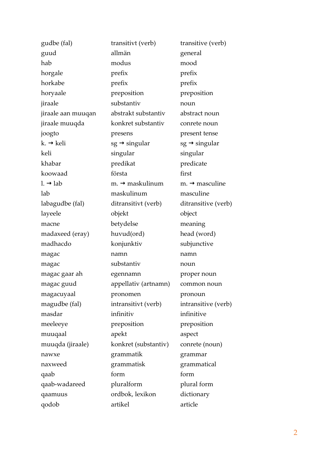| gudbe (fal)           | transitivt (verb)           | transitive (verb)          |
|-----------------------|-----------------------------|----------------------------|
| guud                  | allmän                      | general                    |
| hab                   | modus                       | mood                       |
| horgale               | prefix                      | prefix                     |
| horkabe               | prefix                      | prefix                     |
| horyaale              | preposition                 | preposition                |
| jiraale               | substantiv                  | noun                       |
| jiraale aan muuqan    | abstrakt substantiv         | abstract noun              |
| jiraale muuqda        | konkret substantiv          | conrete noun               |
| joogto                | presens                     | present tense              |
| $k. \rightarrow$ keli | $sg \rightarrow$ singular   | $sg \rightarrow$ singular  |
| keli                  | singular                    | singular                   |
| khabar                | predikat                    | predicate                  |
| koowaad               | första                      | first                      |
| $l. \rightarrow$ lab  | $m. \rightarrow$ maskulinum | $m. \rightarrow$ masculine |
| lab                   | maskulinum                  | masculine                  |
| labagudbe (fal)       | ditransitivt (verb)         | ditransitive (verb)        |
| layeele               | objekt                      | object                     |
| macne                 | betydelse                   | meaning                    |
| madaxeed (eray)       | huvud(ord)                  | head (word)                |
| madhacdo              | konjunktiv                  | subjunctive                |
| magac                 | namn                        | namn                       |
| magac                 | substantiv                  | noun                       |
| magac gaar ah         | egennamn                    | proper noun                |
| magac guud            | appellativ (artnamn)        | common noun                |
| magacuyaal            | pronomen                    | pronoun                    |
| magudbe (fal)         | intransitivt (verb)         | intransitive (verb)        |
| masdar                | infinitiv                   | infinitive                 |
| meeleeye              | preposition                 | preposition                |
| muuqaal               | apekt                       | aspect                     |
| muuqda (jiraale)      | konkret (substantiv)        | conrete (noun)             |
| nawxe                 | grammatik                   | grammar                    |
| naxweed               | grammatisk                  | grammatical                |
| qaab                  | form                        | form                       |
| qaab-wadareed         | pluralform                  | plural form                |
| qaamuus               | ordbok, lexikon             | dictionary                 |
| qodob                 | artikel                     | article                    |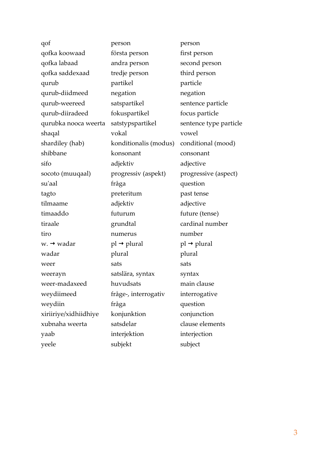| qof                    | person                  | person                                |
|------------------------|-------------------------|---------------------------------------|
| qofka koowaad          | första person           | first person                          |
| qofka labaad           | andra person            | second person                         |
| qofka saddexaad        | tredje person           | third person                          |
| qurub                  | partikel                | particle                              |
| qurub-diidmeed         | negation                | negation                              |
| qurub-weereed          | satspartikel            | sentence particle                     |
| qurub-diiradeed        | fokuspartikel           | focus particle                        |
| qurubka nooca weerta   | satstypspartikel        | sentence type particle                |
| shaqal                 | vokal                   | vowel                                 |
| shardiley (hab)        | konditionalis (modus)   | conditional (mood)                    |
| shibbane               | konsonant               | consonant                             |
| sifo                   | adjektiv                | adjective                             |
| socoto (muuqaal)       | progressiv (aspekt)     | progressive (aspect)                  |
| su'aal                 | fråga                   | question                              |
| tagto                  | preteritum              | past tense                            |
| tilmaame               | adjektiv                | adjective                             |
| timaaddo               | futurum                 | future (tense)                        |
| tiraale                | grundtal                | cardinal number                       |
| tiro                   | numerus                 | number                                |
| $w. \rightarrow wadar$ | $pl \rightarrow plural$ | $\text{pl} \rightarrow \text{plural}$ |
| wadar                  | plural                  | plural                                |
| weer                   | sats                    | sats                                  |
| weerayn                | satslära, syntax        | syntax                                |
| weer-madaxeed          | huvudsats               | main clause                           |
| weydiimeed             | fråge-, interrogativ    | interrogative                         |
| weydiin                | fråga                   | question                              |
| xiriiriye/xidhiidhiye  | konjunktion             | conjunction                           |
| xubnaha weerta         | satsdelar               | clause elements                       |
| yaab                   | interjektion            | interjection                          |
| yeele                  | subjekt                 | subject                               |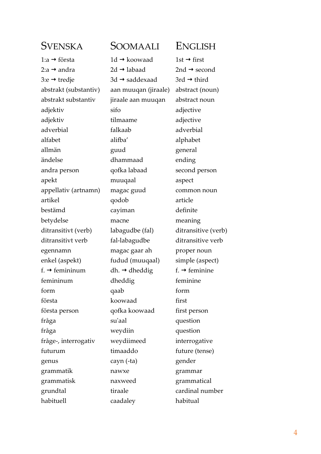1:a → första  $1d$  → koowaad  $1st$  → first  $2:a \rightarrow a$ ndra  $2d \rightarrow a$ labaad  $2nd \rightarrow a$ econd  $3: e \rightarrow \text{tred}$ ie  $3d \rightarrow \text{saddexaad}$   $3rd \rightarrow \text{third}$ abstrakt (substantiv) aan muuqan (jiraale) abstract (noun) abstrakt substantiv jiraale aan muuqan abstract noun adjektiv sifo adjective adjektiv tilmaame adjective adverbial falkaab adverbial alfabet alifba' alphabet allmän guud general ändelse dhammaad ending andra person qofka labaad second person apekt muuqaal aspect appellativ (artnamn) magac guud common noun artikel qodob article bestämd cayiman definite betydelse macne meaning ditransitivt (verb) labagudbe (fal) ditransitive (verb) ditransitivt verb fal-labagudbe ditransitive verb egennamn magac gaar ah proper noun enkel (aspekt) fudud (muuqaal) simple (aspect) f.  $\rightarrow$  femininum dh.  $\rightarrow$  dheddig f.  $\rightarrow$  feminine femininum dheddig feminine form qaab form första koowaad first första person qofka koowaad first person fråga su'aal question fråga weydiin question fråge-, interrogativ weydiimeed interrogative futurum timaaddo future (tense) genus cayn (-ta) gender grammatik nawxe grammar grammatisk naxweed grammatical grundtal tiraale cardinal number habituell caadaley habitual

### SVENSKA SOOMAALI ENGLISH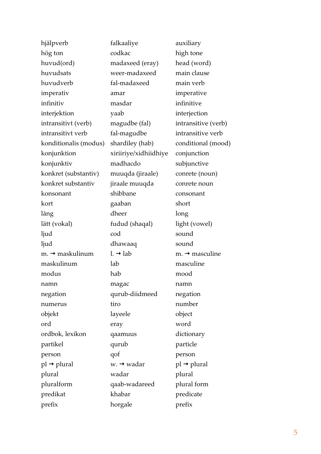| hjälpverb                   | falkaaliye             | auxiliary                  |
|-----------------------------|------------------------|----------------------------|
| hög ton                     | codkac                 | high tone                  |
| huvud(ord)                  | madaxeed (eray)        | head (word)                |
| huvudsats                   | weer-madaxeed          | main clause                |
| huvudverb                   | fal-madaxeed           | main verb                  |
| imperativ                   | amar                   | imperative                 |
| infinitiv                   | masdar                 | infinitive                 |
| interjektion                | yaab                   | interjection               |
| intransitivt (verb)         | magudbe (fal)          | intransitive (verb)        |
| intransitivt verb           | fal-magudbe            | intransitive verb          |
| konditionalis (modus)       | shardiley (hab)        | conditional (mood)         |
| konjunktion                 | xiriiriye/xidhiidhiye  | conjunction                |
| konjunktiv                  | madhacdo               | subjunctive                |
| konkret (substantiv)        | muuqda (jiraale)       | conrete (noun)             |
| konkret substantiv          | jiraale muuqda         | conrete noun               |
| konsonant                   | shibbane               | consonant                  |
| kort                        | gaaban                 | short                      |
| lång                        | dheer                  | long                       |
| lätt (vokal)                | fudud (shaqal)         | light (vowel)              |
| ljud                        | cod                    | sound                      |
| ljud                        | dhawaaq                | sound                      |
| m. $\rightarrow$ maskulinum | $l. \rightarrow$ lab   | $m. \rightarrow$ masculine |
| maskulinum                  | lab                    | masculine                  |
| modus                       | hab                    | mood                       |
| namn                        | magac                  | namn                       |
| negation                    | qurub-diidmeed         | negation                   |
| numerus                     | tiro                   | number                     |
| objekt                      | layeele                | object                     |
| ord                         | eray                   | word                       |
| ordbok, lexikon             | qaamuus                | dictionary                 |
| partikel                    | qurub                  | particle                   |
| person                      | qof                    | person                     |
| $pl \rightarrow plural$     | $w. \rightarrow wadar$ | $pl \rightarrow plural$    |
| plural                      | wadar                  | plural                     |
| pluralform                  | qaab-wadareed          | plural form                |
| predikat                    | khabar                 | predicate                  |
| prefix                      | horgale                | prefix                     |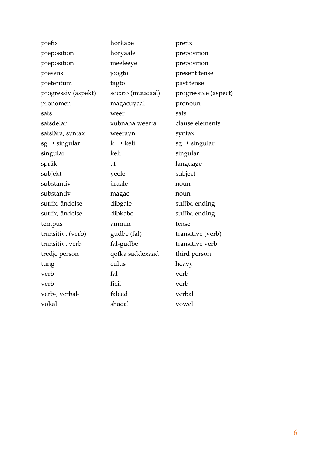| prefix                    | horkabe               | prefix                    |
|---------------------------|-----------------------|---------------------------|
| preposition               | horyaale              | preposition               |
| preposition               | meeleeye              | preposition               |
| presens                   | joogto                | present tense             |
| preteritum                | tagto                 | past tense                |
| progressiv (aspekt)       | socoto (muuqaal)      | progressive (aspect)      |
| pronomen                  | magacuyaal            | pronoun                   |
| sats                      | weer                  | sats                      |
| satsdelar                 | xubnaha weerta        | clause elements           |
| satslära, syntax          | weerayn               | syntax                    |
| $sg \rightarrow$ singular | $k. \rightarrow$ keli | $sg \rightarrow$ singular |
| singular                  | keli                  | singular                  |
| språk                     | af                    | language                  |
| subjekt                   | yeele                 | subject                   |
| substantiv                | jiraale               | noun                      |
| substantiv                | magac                 | noun                      |
| suffix, ändelse           | dibgale               | suffix, ending            |
| suffix, ändelse           | dibkabe               | suffix, ending            |
| tempus                    | ammin                 | tense                     |
| transitivt (verb)         | gudbe (fal)           | transitive (verb)         |
| transitivt verb           | fal-gudbe             | transitive verb           |
| tredje person             | qofka saddexaad       | third person              |
| tung                      | culus                 | heavy                     |
| verb                      | fal                   | verb                      |
| verb                      | ficil                 | verb                      |
| verb-, verbal-            | faleed                | verbal                    |
| vokal                     | shaqal                | vowel                     |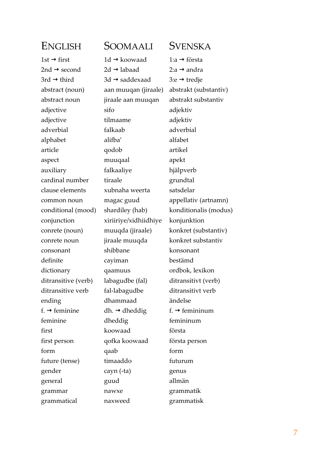| ENGLISH                   | SOOMAALI                   | SVENSKA                    |
|---------------------------|----------------------------|----------------------------|
| $1st \rightarrow first$   | $1d \rightarrow k$ oowaad  | 1:a → första               |
| 2nd $\rightarrow$ second  | $2d \rightarrow$ labaad    | 2:a → andra                |
| 3rd $\rightarrow$ third   | $3d \rightarrow$ saddexaad | 3: $e \rightarrow$ tredje  |
| abstract (noun)           | aan muuqan (jiraale)       | abstrakt (substantiv)      |
| abstract noun             | jiraale aan muuqan         | abstrakt substantiv        |
| adjective                 | sifo                       | adjektiv                   |
| adjective                 | tilmaame                   | adjektiv                   |
| adverbial                 | falkaab                    | adverbial                  |
| alphabet                  | alifba'                    | alfabet                    |
| article                   | qodob                      | artikel                    |
| aspect                    | muuqaal                    | apekt                      |
| auxiliary                 | falkaaliye                 | hjälpverb                  |
| cardinal number           | tiraale                    | grundtal                   |
| clause elements           | xubnaha weerta             | satsdelar                  |
| common noun               | magac guud                 | appellativ (artnamn)       |
| conditional (mood)        | shardiley (hab)            | konditionalis (modus)      |
| conjunction               | xiriiriye/xidhiidhiye      | konjunktion                |
| conrete (noun)            | muuqda (jiraale)           | konkret (substantiv)       |
| conrete noun              | jiraale muuqda             | konkret substantiv         |
| consonant                 | shibbane                   | konsonant                  |
| definite                  | cayiman                    | bestämd                    |
| dictionary                | qaamuus                    | ordbok, lexikon            |
| ditransitive (verb)       | labagudbe (fal)            | ditransitivt (verb)        |
| ditransitive verb         | fal-labagudbe              | ditransitivt verb          |
| ending                    | dhammaad                   | ändelse                    |
| f. $\rightarrow$ feminine | dh. $\rightarrow$ dheddig  | $f. \rightarrow$ femininum |
| feminine                  | dheddig                    | femininum                  |
| first                     | koowaad                    | första                     |
| first person              | qofka koowaad              | första person              |
| form                      | qaab                       | form                       |
| future (tense)            | timaaddo                   | futurum                    |
| gender                    | cayn (-ta)                 | genus                      |
| general                   | guud                       | allmän                     |
| grammar                   | nawxe                      | grammatik                  |
| grammatical               | naxweed                    | grammatisk                 |
|                           |                            |                            |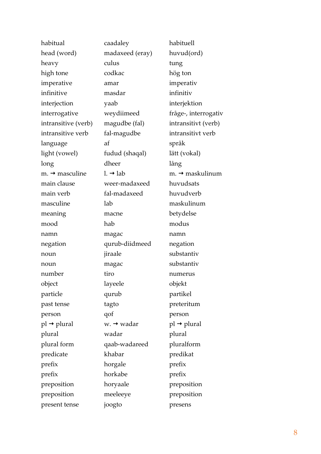| habitual                   | caadaley               | habituell                   |
|----------------------------|------------------------|-----------------------------|
| head (word)                | madaxeed (eray)        | huvud(ord)                  |
| heavy                      | culus                  | tung                        |
| high tone                  | codkac                 | hög ton                     |
| imperative                 | amar                   | imperativ                   |
| infinitive                 | masdar                 | infinitiv                   |
| interjection               | yaab                   | interjektion                |
| interrogative              | weydiimeed             | fråge-, interrogativ        |
| intransitive (verb)        | magudbe (fal)          | intransitivt (verb)         |
| intransitive verb          | fal-magudbe            | intransitivt verb           |
| language                   | af                     | språk                       |
| light (vowel)              | fudud (shaqal)         | lätt (vokal)                |
| long                       | dheer                  | lång                        |
| $m. \rightarrow$ masculine | $l. \rightarrow$ lab   | m. $\rightarrow$ maskulinum |
| main clause                | weer-madaxeed          | huvudsats                   |
| main verb                  | fal-madaxeed           | huvudverb                   |
| masculine                  | lab                    | maskulinum                  |
| meaning                    | macne                  | betydelse                   |
| mood                       | hab                    | modus                       |
| namn                       | magac                  | namn                        |
| negation                   | qurub-diidmeed         | negation                    |
| noun                       | jiraale                | substantiv                  |
| noun                       | magac                  | substantiv                  |
| number                     | tiro                   | numerus                     |
| object                     | layeele                | objekt                      |
| particle                   | qurub                  | partikel                    |
| past tense                 | tagto                  | preteritum                  |
| person                     | qof                    | person                      |
| $pl \rightarrow plural$    | $w. \rightarrow wadar$ | $pl \rightarrow plural$     |
| plural                     | wadar                  | plural                      |
| plural form                | qaab-wadareed          | pluralform                  |
| predicate                  | khabar                 | predikat                    |
| prefix                     | horgale                | prefix                      |
| prefix                     | horkabe                | prefix                      |
| preposition                | horyaale               | preposition                 |
| preposition                | meeleeye               | preposition                 |
| present tense              | joogto                 | presens                     |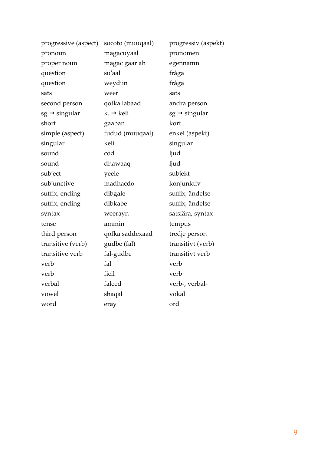| progressive (aspect)      | socoto (muuqaal)      | progressiv (aspekt)       |
|---------------------------|-----------------------|---------------------------|
| pronoun                   | magacuyaal            | pronomen                  |
| proper noun               | magac gaar ah         | egennamn                  |
| question                  | su'aal                | fråga                     |
| question                  | weydiin               | fråga                     |
| sats                      | weer                  | sats                      |
| second person             | qofka labaad          | andra person              |
| $sg \rightarrow$ singular | $k. \rightarrow$ keli | $sg \rightarrow$ singular |
| short                     | gaaban                | kort                      |
| simple (aspect)           | fudud (muuqaal)       | enkel (aspekt)            |
| singular                  | keli                  | singular                  |
| sound                     | cod                   | ljud                      |
| sound                     | dhawaaq               | ljud                      |
| subject                   | yeele                 | subjekt                   |
| subjunctive               | madhacdo              | konjunktiv                |
| suffix, ending            | dibgale               | suffix, ändelse           |
| suffix, ending            | dibkabe               | suffix, ändelse           |
| syntax                    | weerayn               | satslära, syntax          |
| tense                     | ammin                 | tempus                    |
| third person              | qofka saddexaad       | tredje person             |
| transitive (verb)         | gudbe (fal)           | transitivt (verb)         |
| transitive verb           | fal-gudbe             | transitivt verb           |
| verb                      | fal                   | verb                      |
| verb                      | ficil                 | verb                      |
| verbal                    | faleed                | verb-, verbal-            |
| vowel                     | shaqal                | vokal                     |
| word                      | eray                  | ord                       |
|                           |                       |                           |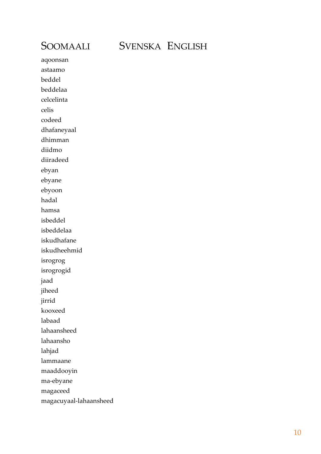## SOOMAALI SVENSKA ENGLISH

aqoonsan astaamo beddel beddelaa celcelinta celis codeed dhafaneyaal dhimman diidmo diiradeed ebyan ebyane ebyoon hadal hamsa isbeddel isbeddelaa iskudhafane iskudheehmid isrogrog isrogrogid jaad jiheed jirrid kooxeed labaad lahaansheed lahaansho lahjad lammaane maaddooyin ma-ebyane magaceed magacuyaal-lahaansheed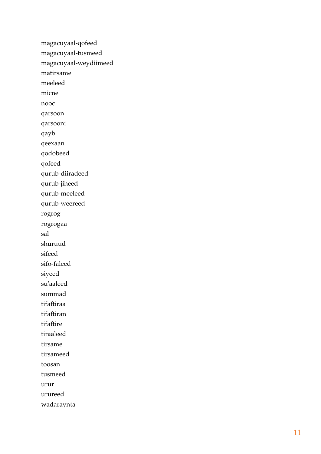magacuyaal -qofeed magacuyaal -tusmeed magacuyaal -weydiimeed matirsame meeleed micne nooc qarsoon qarsooni qayb qeexaan qodobeed qofeed qurub -diiradeed qurub -jiheed qurub -meeleed qurub -weereed rogrog rogrogaa sal shuruud sifeed sifo -faleed siyeed su'aaleed summad tifaftiraa tifaftiran tifaftire tiraaleed tirsame tirsameed toosan tusmeed urur urureed wadaraynta